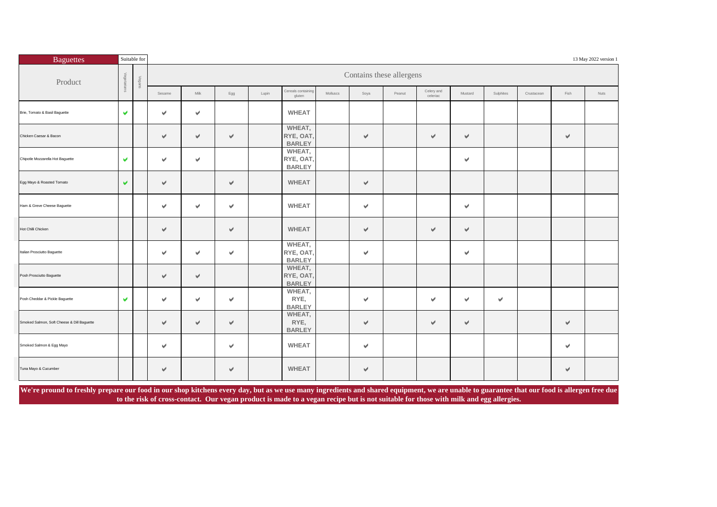| <b>Baguettes</b>                           |                      | Suitable for   |        |      |                      |       |                                      |          |                          |        |                        |                       |           |            |      | 13 May 2022 version 1 |
|--------------------------------------------|----------------------|----------------|--------|------|----------------------|-------|--------------------------------------|----------|--------------------------|--------|------------------------|-----------------------|-----------|------------|------|-----------------------|
| Product                                    | Vegetarians          | Vega           |        |      |                      |       |                                      |          | Contains these allergens |        |                        |                       |           |            |      |                       |
|                                            |                      | $\overline{z}$ | Sesame | Milk | $\mathsf{Egg}$       | Lupin | Cereals containing<br>gluten         | Molluscs | Soya                     | Peanut | Celery and<br>celeriac | Mustard               | Sulphites | Crustacean | Fish | Nuts                  |
| Brie, Tomato & Basil Baguette              | V                    |                | v      | v    |                      |       | <b>WHEAT</b>                         |          |                          |        |                        |                       |           |            |      |                       |
| Chicken Caesar & Bacon                     |                      |                | v      | v    | $\checkmark$         |       | WHEAT,<br>RYE, OAT,<br><b>BARLEY</b> |          | $\checkmark$             |        | V                      | ✔                     |           |            | ✔    |                       |
| Chipotle Mozzarella Hot Baguette           | $\blacktriangledown$ |                | v      | v    |                      |       | WHEAT,<br>RYE, OAT,<br><b>BARLEY</b> |          |                          |        |                        | $\blacktriangleright$ |           |            |      |                       |
| Egg Mayo & Roasted Tomato                  | $\blacktriangledown$ |                | V      |      | $\forall$            |       | <b>WHEAT</b>                         |          | $\checkmark$             |        |                        |                       |           |            |      |                       |
| Ham & Greve Cheese Baguette                |                      |                | v      | v    | $\blacktriangledown$ |       | <b>WHEAT</b>                         |          | $\checkmark$             |        |                        | v                     |           |            |      |                       |
| Hot Chilli Chicken                         |                      |                | V      |      | V                    |       | <b>WHEAT</b>                         |          | $\forall$                |        | $\checkmark$           | v                     |           |            |      |                       |
| Italian Prosciutto Baguette                |                      |                | v      | v    | $\checkmark$         |       | WHEAT,<br>RYE, OAT,<br><b>BARLEY</b> |          | $\forall$                |        |                        | v                     |           |            |      |                       |
| Posh Prosciutto Baguette                   |                      |                | v      | V    |                      |       | WHEAT,<br>RYE, OAT,<br><b>BARLEY</b> |          |                          |        |                        |                       |           |            |      |                       |
| Posh Cheddar & Pickle Baguette             | V                    |                | v      | v    | $\blacktriangledown$ |       | WHEAT,<br>RYE,<br><b>BARLEY</b>      |          | v                        |        | V                      | v                     | v         |            |      |                       |
| Smoked Salmon, Soft Cheese & Dill Baguette |                      |                | V      | v    | v                    |       | WHEAT,<br>RYE,<br><b>BARLEY</b>      |          | v                        |        | V                      | $\forall$             |           |            | v    |                       |
| Smoked Salmon & Egg Mayo                   |                      |                | v      |      | $\blacktriangledown$ |       | <b>WHEAT</b>                         |          | $\checkmark$             |        |                        |                       |           |            | v    |                       |
| Tuna Mayo & Cucumber                       |                      |                | v      |      | $\checkmark$         |       | <b>WHEAT</b>                         |          | v                        |        |                        |                       |           |            | v    |                       |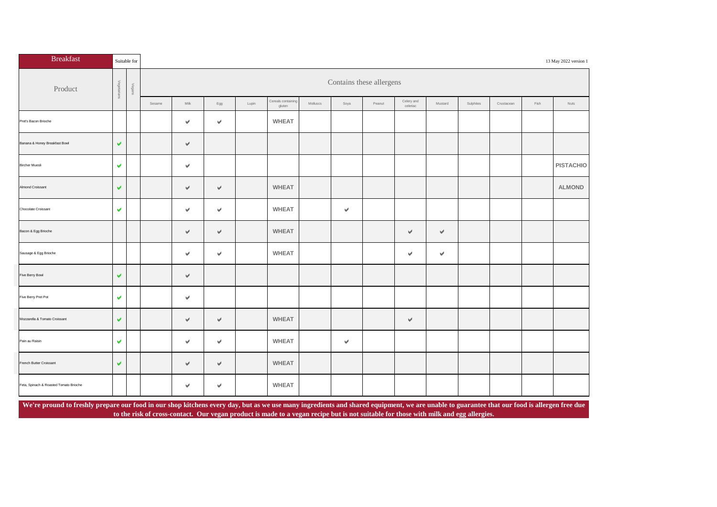| <b>Breakfast</b>                       |                      | Suitable for            |        |                 |     |       |                              |          |                           |        |                        |               |           |            |      | 13 May 2022 version 1 |
|----------------------------------------|----------------------|-------------------------|--------|-----------------|-----|-------|------------------------------|----------|---------------------------|--------|------------------------|---------------|-----------|------------|------|-----------------------|
| Product                                |                      | Vegal<br>$\overline{a}$ |        |                 |     |       |                              |          | Contains these allergens  |        |                        |               |           |            |      |                       |
|                                        |                      |                         | Sesame | $\mathsf{Milk}$ | Egg | Lupin | Cereals containing<br>gluten | Molluscs | Soya                      | Peanut | Celery and<br>celeriac | Mustard       | Sulphites | Crustacean | Fish | Nuts                  |
| Pret's Bacon Brioche                   |                      |                         |        | v               | v   |       | <b>WHEAT</b>                 |          |                           |        |                        |               |           |            |      |                       |
| Banana & Honey Breakfast Bowl          | V                    |                         |        | v               |     |       |                              |          |                           |        |                        |               |           |            |      |                       |
| <b>Bircher Muesli</b>                  | V                    |                         |        | v               |     |       |                              |          |                           |        |                        |               |           |            |      | <b>PISTACHIO</b>      |
| Almond Croissant                       | v                    |                         |        | v               | v   |       | <b>WHEAT</b>                 |          |                           |        |                        |               |           |            |      | <b>ALMOND</b>         |
| Chocolate Croissant                    | V                    |                         |        | v               | v   |       | <b>WHEAT</b>                 |          | $\mathbf{v}^{\mathrm{r}}$ |        |                        |               |           |            |      |                       |
| Bacon & Egg Brioche                    |                      |                         |        | V               | v   |       | <b>WHEAT</b>                 |          |                           |        | v                      | $\forall$     |           |            |      |                       |
| Sausage & Egg Brioche                  |                      |                         |        | v               | v   |       | <b>WHEAT</b>                 |          |                           |        | v                      | $\mathcal{P}$ |           |            |      |                       |
| Five Berry Bowl                        | $\blacktriangledown$ |                         |        | v               |     |       |                              |          |                           |        |                        |               |           |            |      |                       |
| Five Berry Pret Pot                    | $\blacktriangledown$ |                         |        | v               |     |       |                              |          |                           |        |                        |               |           |            |      |                       |
| Mozzarella & Tomato Croissant          | v                    |                         |        | v               | v   |       | <b>WHEAT</b>                 |          |                           |        | v                      |               |           |            |      |                       |
| Pain au Raisin                         | v                    |                         |        | $\checkmark$    | v   |       | <b>WHEAT</b>                 |          | v                         |        |                        |               |           |            |      |                       |
| French Butter Croissant                | v                    |                         |        | v               | V   |       | <b>WHEAT</b>                 |          |                           |        |                        |               |           |            |      |                       |
| Feta, Spinach & Roasted Tomato Brioche |                      |                         |        | v               | v   |       | <b>WHEAT</b>                 |          |                           |        |                        |               |           |            |      |                       |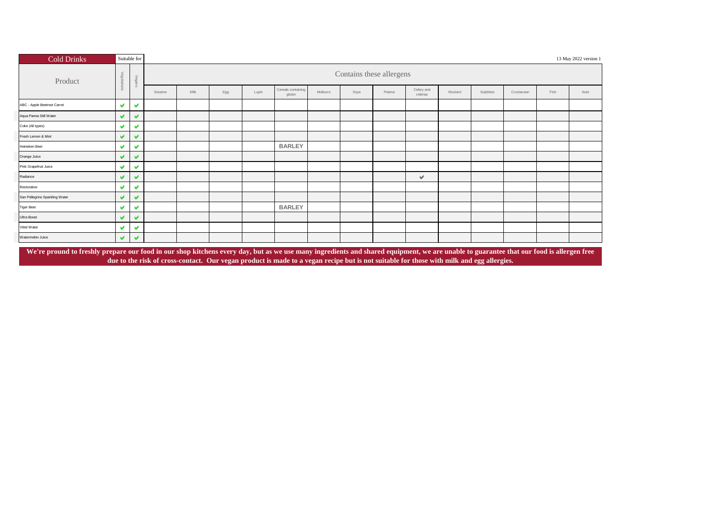| <b>Cold Drinks</b>             | Suitable for          |       |        |      |     |       |                              |          |      |                          |                        |         |           |            |      | 13 May 2022 version 1 |
|--------------------------------|-----------------------|-------|--------|------|-----|-------|------------------------------|----------|------|--------------------------|------------------------|---------|-----------|------------|------|-----------------------|
| Product                        | Vegetar               | $\,<$ |        |      |     |       |                              |          |      | Contains these allergens |                        |         |           |            |      |                       |
|                                |                       |       | Sesame | Milk | Egg | Lupin | Cereals containing<br>gluten | Molluscs | Soya | Peanut                   | Celery and<br>celeriac | Mustard | Sulphites | Crustacean | Fish | Nuts                  |
| ABC - Apple Beetroot Carrot    | $\blacktriangledown$  | V     |        |      |     |       |                              |          |      |                          |                        |         |           |            |      |                       |
| Aqua Panna Still Water         | $\blacktriangledown$  | V     |        |      |     |       |                              |          |      |                          |                        |         |           |            |      |                       |
| Coke (All types)               | $\blacktriangledown$  | v     |        |      |     |       |                              |          |      |                          |                        |         |           |            |      |                       |
| Fresh Lemon & Mint             | $\blacktriangleright$ | V     |        |      |     |       |                              |          |      |                          |                        |         |           |            |      |                       |
| Heineken Beer                  | $\blacktriangleright$ | v     |        |      |     |       | <b>BARLEY</b>                |          |      |                          |                        |         |           |            |      |                       |
| Orange Juice                   | $\blacktriangledown$  | V     |        |      |     |       |                              |          |      |                          |                        |         |           |            |      |                       |
| Pink Grapefruit Juice          | $\blacktriangleright$ | v     |        |      |     |       |                              |          |      |                          |                        |         |           |            |      |                       |
| Radiance                       | $\blacktriangleright$ | v     |        |      |     |       |                              |          |      |                          | v                      |         |           |            |      |                       |
| Restorative                    | $\blacktriangleright$ | v     |        |      |     |       |                              |          |      |                          |                        |         |           |            |      |                       |
| San Pellegrino Sparkling Water | $\blacktriangleright$ | v     |        |      |     |       |                              |          |      |                          |                        |         |           |            |      |                       |
| <b>Tiger Beer</b>              | $\blacktriangleright$ | v     |        |      |     |       | <b>BARLEY</b>                |          |      |                          |                        |         |           |            |      |                       |
| Ultra Boost                    | $\blacktriangleright$ | v     |        |      |     |       |                              |          |      |                          |                        |         |           |            |      |                       |
| Vittel Water                   | V                     | v     |        |      |     |       |                              |          |      |                          |                        |         |           |            |      |                       |
| Watermelon Juice               | $\blacktriangledown$  | v     |        |      |     |       |                              |          |      |                          |                        |         |           |            |      |                       |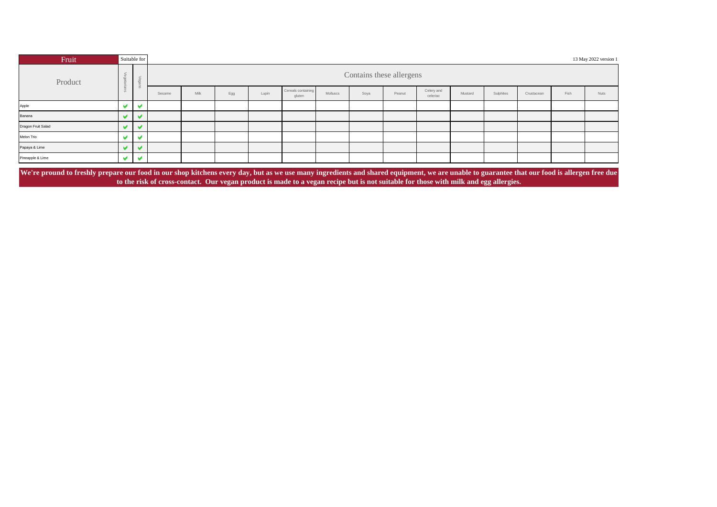| Fruit                                                                                                                                                                                       |   | Suitable for |        |             |     |       |                              |          |                          |        |                        |         |           |            |      | 13 May 2022 version 1 |
|---------------------------------------------------------------------------------------------------------------------------------------------------------------------------------------------|---|--------------|--------|-------------|-----|-------|------------------------------|----------|--------------------------|--------|------------------------|---------|-----------|------------|------|-----------------------|
| Product                                                                                                                                                                                     |   |              |        |             |     |       |                              |          | Contains these allergens |        |                        |         |           |            |      |                       |
|                                                                                                                                                                                             |   |              | Sesame | <b>Milk</b> | Egg | Lupin | Cereals containing<br>gluten | Molluscs | Soya                     | Peanut | Celery and<br>celeriac | Mustard | Sulphites | Crustacean | Fish | <b>Nuts</b>           |
| Apple                                                                                                                                                                                       |   |              |        |             |     |       |                              |          |                          |        |                        |         |           |            |      |                       |
| Banana                                                                                                                                                                                      |   | ✔            |        |             |     |       |                              |          |                          |        |                        |         |           |            |      |                       |
| Dragon Fruit Salad                                                                                                                                                                          |   | ້            |        |             |     |       |                              |          |                          |        |                        |         |           |            |      |                       |
| Melon Trio                                                                                                                                                                                  | u | w            |        |             |     |       |                              |          |                          |        |                        |         |           |            |      |                       |
| Papaya & Lime                                                                                                                                                                               |   | w            |        |             |     |       |                              |          |                          |        |                        |         |           |            |      |                       |
| Pineapple & Lime                                                                                                                                                                            |   | v            |        |             |     |       |                              |          |                          |        |                        |         |           |            |      |                       |
| We're pround to freshly prepare our food in our shop kitchens every day, but as we use many ingredients and shared equipment, we are unable to guarantee that our food is allergen free due |   |              |        |             |     |       |                              |          |                          |        |                        |         |           |            |      |                       |

**to the risk of cross-contact. Our vegan product is made to a vegan recipe but is not suitable for those with milk and egg allergies.**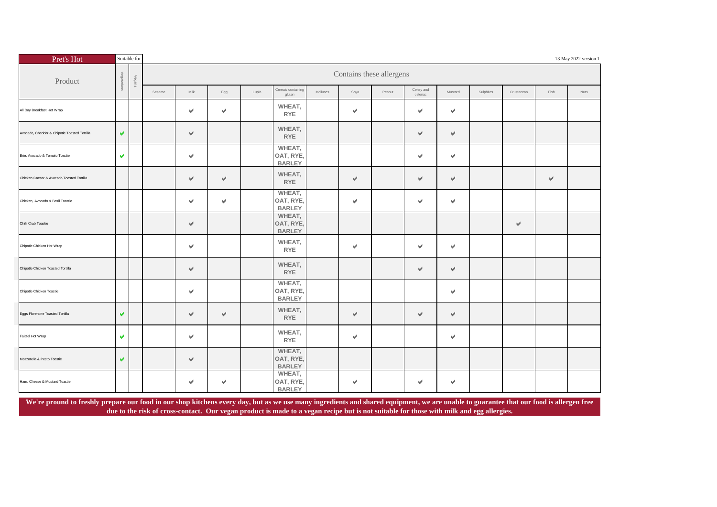| Pret's Hot                                   |                       | Suitable for |        |                       |     |       |                                      |          |                           |                          |                           |              |           |            |           | 13 May 2022 version 1 |
|----------------------------------------------|-----------------------|--------------|--------|-----------------------|-----|-------|--------------------------------------|----------|---------------------------|--------------------------|---------------------------|--------------|-----------|------------|-----------|-----------------------|
| Product                                      | Vegetariar            | Vegans       |        |                       |     |       |                                      |          |                           | Contains these allergens |                           |              |           |            |           |                       |
|                                              |                       |              | Sesame | Milk                  | Egg | Lupin | Cereals containing<br>gluten         | Molluscs | Soya                      | Peanut                   | Celery and<br>celeriac    | Mustard      | Sulphites | Crustacean | Fish      | Nuts                  |
| All Day Breakfast Hot Wrap                   |                       |              |        | v                     | v   |       | WHEAT,<br><b>RYE</b>                 |          | $\checkmark$              |                          | $\mathcal{A}$             | v            |           |            |           |                       |
| Avocado, Cheddar & Chipotle Toasted Tortilla | $\blacktriangleright$ |              |        | v                     |     |       | WHEAT,<br><b>RYE</b>                 |          |                           |                          | v                         | $\checkmark$ |           |            |           |                       |
| Brie, Avocado & Tomato Toastie               | v.                    |              |        | $\mathcal{P}$         |     |       | WHEAT,<br>OAT, RYE,<br><b>BARLEY</b> |          |                           |                          | $\mathcal{A}$             | v.           |           |            |           |                       |
| Chicken Caesar & Avocado Toasted Tortilla    |                       |              |        | $\mathcal{A}$         | v   |       | WHEAT,<br><b>RYE</b>                 |          | $\forall$                 |                          | $\checkmark$              | v            |           |            | $\forall$ |                       |
| Chicken, Avocado & Basil Toastie             |                       |              |        | v                     | v   |       | WHEAT,<br>OAT, RYE,<br><b>BARLEY</b> |          | $\checkmark$              |                          | $\blacktriangleright$     | v            |           |            |           |                       |
| Chilli Crab Toastie                          |                       |              |        | v                     |     |       | WHEAT,<br>OAT, RYE,<br><b>BARLEY</b> |          |                           |                          |                           |              |           | V          |           |                       |
| Chipotle Chicken Hot Wrap                    |                       |              |        | v                     |     |       | WHEAT,<br><b>RYE</b>                 |          | $\mathbf{v}^{\mathrm{r}}$ |                          | $\mathbf{v}^{\mathrm{r}}$ | v            |           |            |           |                       |
| Chipotle Chicken Toasted Tortilla            |                       |              |        | v                     |     |       | WHEAT,<br><b>RYE</b>                 |          |                           |                          | $\checkmark$              | v            |           |            |           |                       |
| Chipotle Chicken Toastie                     |                       |              |        | $\blacktriangleright$ |     |       | WHEAT,<br>OAT, RYE,<br><b>BARLEY</b> |          |                           |                          |                           | v            |           |            |           |                       |
| Eggs Florentine Toasted Tortilla             | $\blacktriangleright$ |              |        | v                     | v   |       | WHEAT,<br><b>RYE</b>                 |          | $\checkmark$              |                          | $\checkmark$              | v            |           |            |           |                       |
| Falafel Hot Wrap                             | v.                    |              |        | v                     |     |       | WHEAT,<br><b>RYE</b>                 |          | $\mathbf{v}^{\prime}$     |                          |                           | v            |           |            |           |                       |
| Mozzarella & Pesto Toastie                   | $\blacktriangledown$  |              |        | v                     |     |       | WHEAT,<br>OAT, RYE,<br><b>BARLEY</b> |          |                           |                          |                           |              |           |            |           |                       |
| Ham, Cheese & Mustard Toastie                |                       |              |        | v                     | v   |       | WHEAT,<br>OAT, RYE,<br><b>BARLEY</b> |          | $\checkmark$              |                          | $\checkmark$              | v            |           |            |           |                       |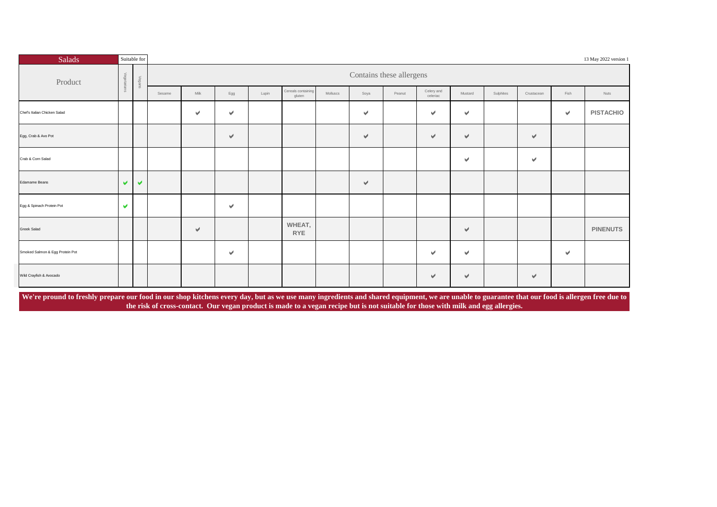| Salads                          | Suitable for         |                      |        |      |                       |       |                                       |          |              |                          |                        |                       |           |               |      | 13 May 2022 version 1 |
|---------------------------------|----------------------|----------------------|--------|------|-----------------------|-------|---------------------------------------|----------|--------------|--------------------------|------------------------|-----------------------|-----------|---------------|------|-----------------------|
| Product                         |                      | Vegans               |        |      |                       |       |                                       |          |              | Contains these allergens |                        |                       |           |               |      |                       |
|                                 |                      |                      | Sesame | Milk | Egg                   | Lupin | Cereals containing<br>gluten          | Molluscs | Soya         | Peanut                   | Celery and<br>celeriac | Mustard               | Sulphites | Crustacean    | Fish | Nuts                  |
| Chef's Italian Chicken Salad    |                      |                      |        | v    | v                     |       |                                       |          | $\checkmark$ |                          | $\blacktriangleright$  | $\blacktriangledown$  |           |               | v    | <b>PISTACHIO</b>      |
| Egg, Crab & Avo Pot             |                      |                      |        |      | v                     |       |                                       |          | v            |                          | $\blacktriangledown$   | v                     |           | V             |      |                       |
| Crab & Corn Salad               |                      |                      |        |      |                       |       |                                       |          |              |                          |                        | $\blacktriangleright$ |           | $\mathcal{A}$ |      |                       |
| Edamame Beans                   | $\blacktriangledown$ | $\blacktriangledown$ |        |      |                       |       |                                       |          | $\forall$    |                          |                        |                       |           |               |      |                       |
| Egg & Spinach Protein Pot       | $\blacktriangledown$ |                      |        |      | $\blacktriangleright$ |       |                                       |          |              |                          |                        |                       |           |               |      |                       |
| Greek Salad                     |                      |                      |        | V    |                       |       | WHEAT,<br>$\ensuremath{\mathsf{RYE}}$ |          |              |                          |                        | ✔                     |           |               |      | <b>PINENUTS</b>       |
| Smoked Salmon & Egg Protein Pot |                      |                      |        |      | $\blacktriangledown$  |       |                                       |          |              |                          | $\checkmark$           | v                     |           |               | V    |                       |
| Wild Crayfish & Avocado         |                      |                      |        |      |                       |       |                                       |          |              |                          | $\checkmark$           | $\forall$             |           | V             |      |                       |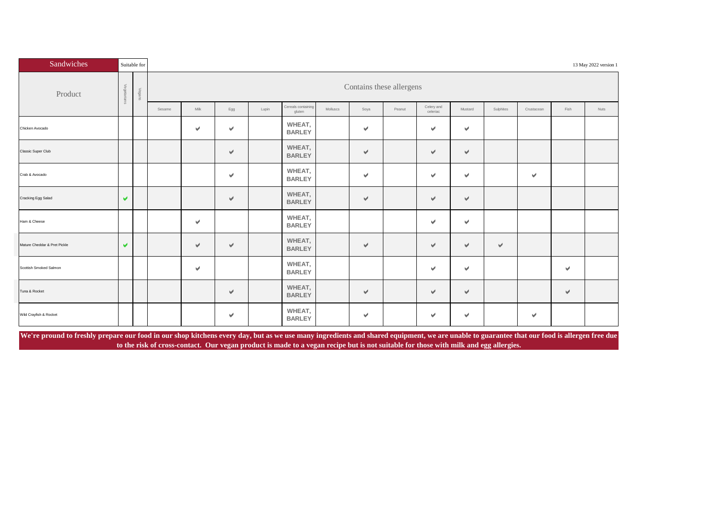| Sandwiches                   |                      | Suitable for |        |      |                       |       |                              |          |               |                          |                        |         |                      |            |      | 13 May 2022 version 1 |
|------------------------------|----------------------|--------------|--------|------|-----------------------|-------|------------------------------|----------|---------------|--------------------------|------------------------|---------|----------------------|------------|------|-----------------------|
| Product                      | Vegetarians          | Vegans       |        |      |                       |       |                              |          |               | Contains these allergens |                        |         |                      |            |      |                       |
|                              |                      |              | Sesame | Milk | Egg                   | Lupin | Cereals containing<br>gluten | Molluscs | Soya          | Peanut                   | Celery and<br>celeriac | Mustard | Sulphites            | Crustacean | Fish | Nuts                  |
| Chicken Avocado              |                      |              |        | v    | $\blacktriangledown$  |       | WHEAT,<br><b>BARLEY</b>      |          | v.            |                          | V                      | v       |                      |            |      |                       |
| Classic Super Club           |                      |              |        |      | v                     |       | WHEAT,<br><b>BARLEY</b>      |          | v             |                          | V                      | v       |                      |            |      |                       |
| Crab & Avocado               |                      |              |        |      | $\mathbf{v}$          |       | WHEAT,<br><b>BARLEY</b>      |          | v             |                          | V                      | v       |                      | v          |      |                       |
| Cracking Egg Salad           | $\blacktriangledown$ |              |        |      | $\mathcal{A}$         |       | WHEAT,<br><b>BARLEY</b>      |          | $\mathcal{A}$ |                          | V                      | v       |                      |            |      |                       |
| Ham & Cheese                 |                      |              |        | v    |                       |       | WHEAT,<br><b>BARLEY</b>      |          |               |                          | V                      | v       |                      |            |      |                       |
| Mature Cheddar & Pret Pickle | $\blacktriangledown$ |              |        | v    | $\mathbf{v}^{\prime}$ |       | WHEAT,<br><b>BARLEY</b>      |          | v             |                          | V                      | v       | $\blacktriangledown$ |            |      |                       |
| Scottish Smoked Salmon       |                      |              |        | V    |                       |       | WHEAT,<br><b>BARLEY</b>      |          |               |                          | V                      | v       |                      |            | v    |                       |
| Tuna & Rocket                |                      |              |        |      | V                     |       | WHEAT,<br><b>BARLEY</b>      |          | v             |                          | V                      | v       |                      |            | v    |                       |
| Wild Crayfish & Rocket       |                      |              |        |      | v                     |       | WHEAT,<br><b>BARLEY</b>      |          | v             |                          | v                      | v       |                      | v          |      |                       |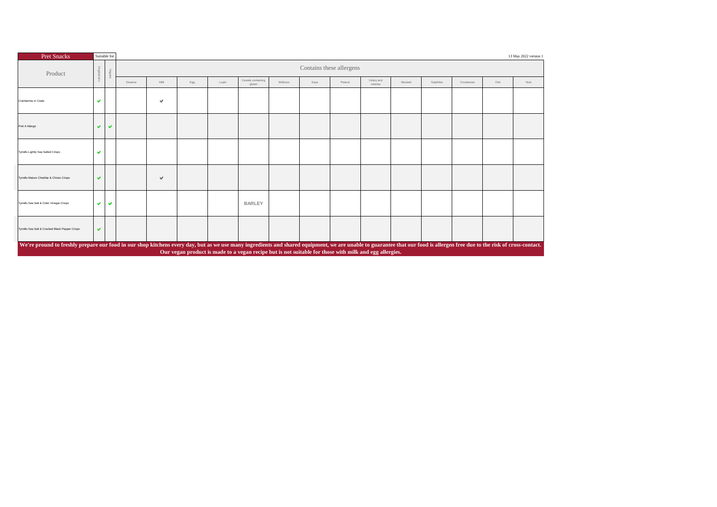| <b>Pret Snacks</b>                                                                                                                                                                                                        | Suitable for            |                      |        |     |     |       |                                                                                                        |          |                          |        |                        |         |           |            |      | 13 May 2022 version 1 |
|---------------------------------------------------------------------------------------------------------------------------------------------------------------------------------------------------------------------------|-------------------------|----------------------|--------|-----|-----|-------|--------------------------------------------------------------------------------------------------------|----------|--------------------------|--------|------------------------|---------|-----------|------------|------|-----------------------|
| Product                                                                                                                                                                                                                   |                         |                      |        |     |     |       |                                                                                                        |          | Contains these allergens |        |                        |         |           |            |      |                       |
|                                                                                                                                                                                                                           |                         |                      | Sesame | Mik | Egg | Lupin | Cereals containing<br>gluten                                                                           | Molluscs | Soya                     | Peanut | Celery and<br>celeriac | Mustard | Sulphites | Crustacean | Fish | Nuts                  |
| Cranberries in Coats                                                                                                                                                                                                      | v                       |                      |        | v   |     |       |                                                                                                        |          |                          |        |                        |         |           |            |      |                       |
| Pret A Mango                                                                                                                                                                                                              | v.                      | $\blacktriangledown$ |        |     |     |       |                                                                                                        |          |                          |        |                        |         |           |            |      |                       |
| Tyrrells Lightly Sea Salted Crisps                                                                                                                                                                                        | $\overline{\mathbf{v}}$ |                      |        |     |     |       |                                                                                                        |          |                          |        |                        |         |           |            |      |                       |
| Tyrrells Mature Cheddar & Chives Crisps                                                                                                                                                                                   | $\blacktriangleright$   |                      |        | v   |     |       |                                                                                                        |          |                          |        |                        |         |           |            |      |                       |
| Tyrrells Sea Salt & Cider Vinegar Crisps                                                                                                                                                                                  | $\mathbf{v}$            | $\blacktriangledown$ |        |     |     |       | <b>BARLEY</b>                                                                                          |          |                          |        |                        |         |           |            |      |                       |
| Tyrrells Sea Salt & Cracked Black Pepper Crisps                                                                                                                                                                           | v                       |                      |        |     |     |       |                                                                                                        |          |                          |        |                        |         |           |            |      |                       |
| We're pround to freshly prepare our food in our shop kitchens every day, but as we use many ingredients and shared equipment, we are unable to guarantee that our food is allergen free due to the risk of cross-contact. |                         |                      |        |     |     |       | Our vegan product is made to a vegan recipe but is not suitable for those with milk and egg allergies. |          |                          |        |                        |         |           |            |      |                       |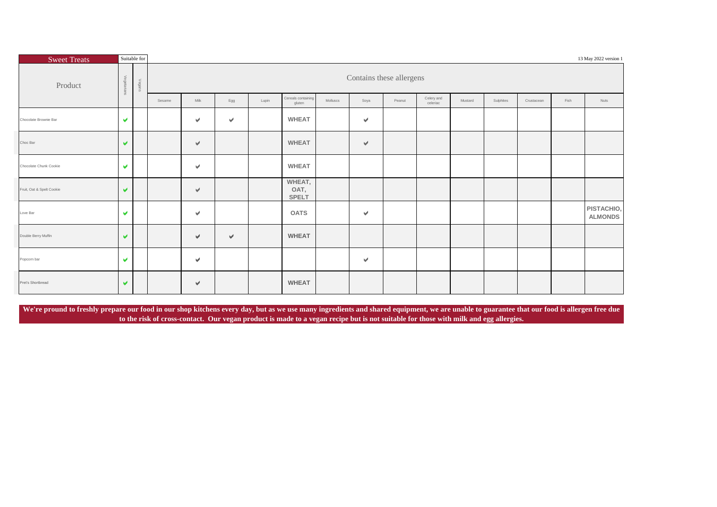| <b>Sweet Treats</b>       |                       | Suitable for |        |      |                      |       |                                |          |                      |                          |                        |         |           |            |      | 13 May 2022 version 1        |
|---------------------------|-----------------------|--------------|--------|------|----------------------|-------|--------------------------------|----------|----------------------|--------------------------|------------------------|---------|-----------|------------|------|------------------------------|
| Product                   | Vegetari<br>rians     | Vegans       |        |      |                      |       |                                |          |                      | Contains these allergens |                        |         |           |            |      |                              |
|                           |                       |              | Sesame | Milk | Egg                  | Lupin | Cereals containing<br>gluten   | Molluscs | Soya                 | Peanut                   | Celery and<br>celeriac | Mustard | Sulphites | Crustacean | Fish | Nuts                         |
| Chocolate Brownie Bar     | v                     |              |        | v    | $\blacktriangledown$ |       | <b>WHEAT</b>                   |          | $\vee$               |                          |                        |         |           |            |      |                              |
| Choc Bar                  | $\blacktriangledown$  |              |        | v    |                      |       | <b>WHEAT</b>                   |          | $\vee$               |                          |                        |         |           |            |      |                              |
| Chocolate Chunk Cookie    | $\blacktriangleright$ |              |        | v    |                      |       | <b>WHEAT</b>                   |          |                      |                          |                        |         |           |            |      |                              |
| Fruit, Oat & Spelt Cookie | $\blacktriangledown$  |              |        | v    |                      |       | WHEAT,<br>OAT,<br><b>SPELT</b> |          |                      |                          |                        |         |           |            |      |                              |
| Love Bar                  | $\blacktriangleright$ |              |        | v    |                      |       | <b>OATS</b>                    |          | $\blacktriangledown$ |                          |                        |         |           |            |      | PISTACHIO,<br><b>ALMONDS</b> |
| Double Berry Muffin       | v                     |              |        | v    | ✔                    |       | <b>WHEAT</b>                   |          |                      |                          |                        |         |           |            |      |                              |
| Popcorn bar               | $\blacktriangleright$ |              |        | v    |                      |       |                                |          | $\blacktriangledown$ |                          |                        |         |           |            |      |                              |
| Pret's Shortbread         | $\blacktriangleright$ |              |        | v    |                      |       | <b>WHEAT</b>                   |          |                      |                          |                        |         |           |            |      |                              |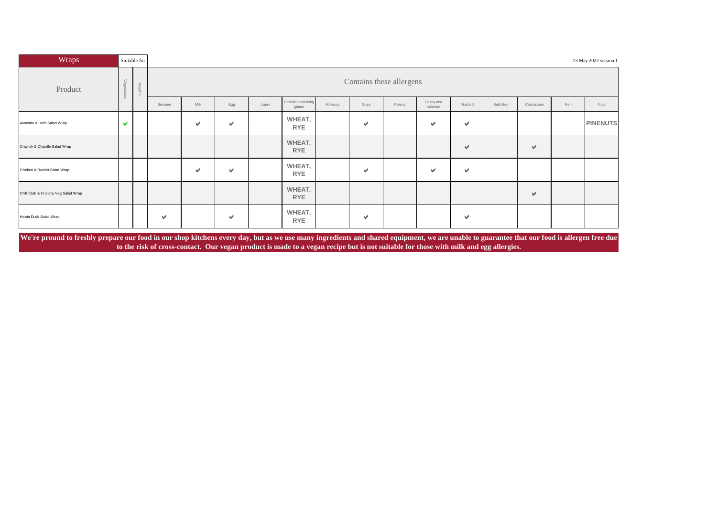| Wraps                                |                       | Suitable for |        |               |     |       |                              |          |                          |        |                        |                      |           |                      |      | 13 May 2022 version 1 |
|--------------------------------------|-----------------------|--------------|--------|---------------|-----|-------|------------------------------|----------|--------------------------|--------|------------------------|----------------------|-----------|----------------------|------|-----------------------|
| Product                              | $\searrow$ 69         | Veg          |        |               |     |       |                              |          | Contains these allergens |        |                        |                      |           |                      |      |                       |
|                                      |                       |              | Sesame | Milk          | Egg | Lupin | Cereals containing<br>gluten | Molluscs | Soya                     | Peanut | Celery and<br>celeriac | Mustard              | Sulphites | Crustacean           | Fish | Nuts                  |
| Avocado & Herb Salad Wrap            | $\blacktriangleright$ |              |        | v             | V   |       | WHEAT,<br><b>RYE</b>         |          | $\blacktriangleright$    |        | $\checkmark$           | $\blacktriangledown$ |           |                      |      | <b>PINENUTS</b>       |
| Crayfish & Chipotle Salad Wrap       |                       |              |        |               |     |       | WHEAT,<br><b>RYE</b>         |          |                          |        |                        | $\vee$               |           | $\blacktriangledown$ |      |                       |
| Chicken & Rocket Salad Wrap          |                       |              |        | $\mathcal{A}$ | V   |       | WHEAT,<br><b>RYE</b>         |          | $\blacktriangleright$    |        | $\blacktriangleright$  | $\blacktriangledown$ |           |                      |      |                       |
| Chilli Crab & Crunchy Veg Salad Wrap |                       |              |        |               |     |       | WHEAT,<br><b>RYE</b>         |          |                          |        |                        |                      |           | V                    |      |                       |
| Hoisin Duck Salad Wrap               |                       |              | v.     |               | V   |       | WHEAT,<br><b>RYE</b>         |          | v                        |        |                        | $\checkmark$         |           |                      |      |                       |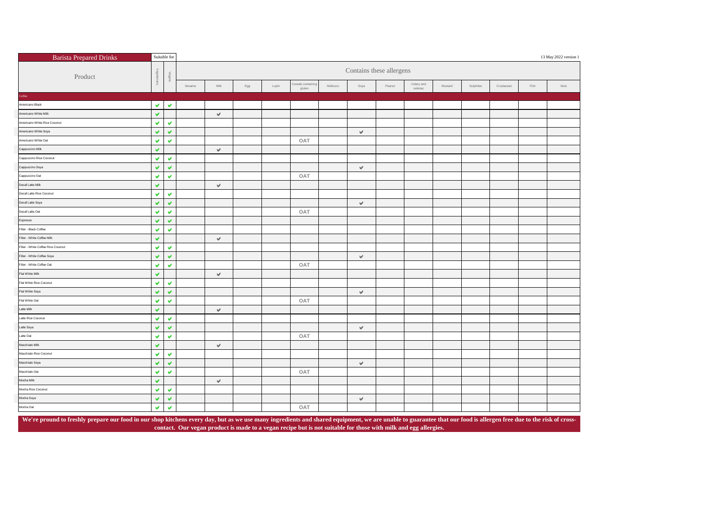| <b>Barista Prepared Drinks</b>     |                      | Suitable for          |        |                           |                |       |                              |          |              |                          |                        |         |           |            |      | 13 May 2022 version 1 |
|------------------------------------|----------------------|-----------------------|--------|---------------------------|----------------|-------|------------------------------|----------|--------------|--------------------------|------------------------|---------|-----------|------------|------|-----------------------|
| Product                            | &                    | Vegans                |        |                           |                |       |                              |          |              | Contains these allergens |                        |         |           |            |      |                       |
|                                    |                      |                       | Sesame | Milk                      | $\mathsf{Egg}$ | Lupin | Cereals containing<br>gluten | Molluscs | Soya         | Peanut                   | Celery and<br>celeriac | Mustard | Sulphites | Crustacean | Fish | Nuts                  |
| Coffee                             |                      |                       |        |                           |                |       |                              |          |              |                          |                        |         |           |            |      |                       |
| Americano Black                    | v                    | $\checkmark$          |        |                           |                |       |                              |          |              |                          |                        |         |           |            |      |                       |
| Americano White Milk               | V                    |                       |        | $\forall$                 |                |       |                              |          |              |                          |                        |         |           |            |      |                       |
| Americano White Rice Coconut       | v                    | $\blacktriangledown$  |        |                           |                |       |                              |          |              |                          |                        |         |           |            |      |                       |
| Americano White Soya               | V                    | $\checkmark$          |        |                           |                |       |                              |          | $\checkmark$ |                          |                        |         |           |            |      |                       |
| Americano White Oat                | v                    | $\checkmark$          |        |                           |                |       | OAT                          |          |              |                          |                        |         |           |            |      |                       |
| Cappuccino Milk                    | v                    |                       |        | $\forall$                 |                |       |                              |          |              |                          |                        |         |           |            |      |                       |
| Cappuccino Rice Coconut            | v                    | $\blacktriangledown$  |        |                           |                |       |                              |          |              |                          |                        |         |           |            |      |                       |
| Cappuccino Soya                    | v                    | $\blacktriangledown$  |        |                           |                |       |                              |          | $\forall$    |                          |                        |         |           |            |      |                       |
| Cappuccino Oat                     | v                    | $\checkmark$          |        |                           |                |       | OAT                          |          |              |                          |                        |         |           |            |      |                       |
| Decaf Latte Milk                   | v                    |                       |        | $\mathbf{v}^{\mathrm{d}}$ |                |       |                              |          |              |                          |                        |         |           |            |      |                       |
| Decaf Latte Rice Coconut           | $\blacktriangledown$ | $\blacktriangledown$  |        |                           |                |       |                              |          |              |                          |                        |         |           |            |      |                       |
| Decaf Latte Soya                   | v                    | $\checkmark$          |        |                           |                |       |                              |          | $\forall$    |                          |                        |         |           |            |      |                       |
| Decaf Latte Oat                    | $\checkmark$         | $\checkmark$          |        |                           |                |       | OAT                          |          |              |                          |                        |         |           |            |      |                       |
| Espresso                           | v                    | $\checkmark$          |        |                           |                |       |                              |          |              |                          |                        |         |           |            |      |                       |
| Filter - Black Coffee              | v                    | $\blacktriangledown$  |        |                           |                |       |                              |          |              |                          |                        |         |           |            |      |                       |
| Filter - White Coffee Milk         | $\checkmark$         |                       |        | $\forall$                 |                |       |                              |          |              |                          |                        |         |           |            |      |                       |
| Filter - White Coffee Rice Coconut | V                    | $\checkmark$          |        |                           |                |       |                              |          |              |                          |                        |         |           |            |      |                       |
| Filter - White Coffee Soya         | v                    | $\checkmark$          |        |                           |                |       |                              |          | $\forall$    |                          |                        |         |           |            |      |                       |
| Filter - White Coffee Oat          | V                    | $\blacktriangleright$ |        |                           |                |       | OAT                          |          |              |                          |                        |         |           |            |      |                       |
| Flat White Milk                    | v                    |                       |        | $\forall$                 |                |       |                              |          |              |                          |                        |         |           |            |      |                       |
| Flat White Rice Coconut            | v                    | $\blacktriangledown$  |        |                           |                |       |                              |          |              |                          |                        |         |           |            |      |                       |
| Flat White Soya                    | v                    | $\blacktriangledown$  |        |                           |                |       |                              |          | $\forall$    |                          |                        |         |           |            |      |                       |
| Flat White Oat                     | v                    | $\blacktriangledown$  |        |                           |                |       | OAT                          |          |              |                          |                        |         |           |            |      |                       |
| Latte Milk                         | V                    |                       |        | $\mathcal{A}$             |                |       |                              |          |              |                          |                        |         |           |            |      |                       |
| Latte Rice Coconut                 | v                    | V                     |        |                           |                |       |                              |          |              |                          |                        |         |           |            |      |                       |
| Latte Soya                         | v                    | $\checkmark$          |        |                           |                |       |                              |          | $\forall$    |                          |                        |         |           |            |      |                       |
| Latte Oat                          | v                    | v                     |        |                           |                |       | OAT                          |          |              |                          |                        |         |           |            |      |                       |
| Macchiato Milk                     | v                    |                       |        | $\forall$                 |                |       |                              |          |              |                          |                        |         |           |            |      |                       |
| Macchiato Rice Coconut             | v                    | $\checkmark$          |        |                           |                |       |                              |          |              |                          |                        |         |           |            |      |                       |
| Macchiato Soya                     | V                    | $\checkmark$          |        |                           |                |       |                              |          | $\forall$    |                          |                        |         |           |            |      |                       |
| Macchiato Oat                      | v                    | $\blacktriangledown$  |        |                           |                |       | OAT                          |          |              |                          |                        |         |           |            |      |                       |
| Mocha Milk                         | v                    |                       |        | $\mathbf{v}^{\mathrm{d}}$ |                |       |                              |          |              |                          |                        |         |           |            |      |                       |
| Mocha Rice Coconut                 | v                    | v                     |        |                           |                |       |                              |          |              |                          |                        |         |           |            |      |                       |
| Mocha Soya                         | v                    | $\blacktriangledown$  |        |                           |                |       |                              |          | $\forall$    |                          |                        |         |           |            |      |                       |
| Mocha Oat                          | v                    | $\blacktriangledown$  |        |                           |                |       | OAT                          |          |              |                          |                        |         |           |            |      |                       |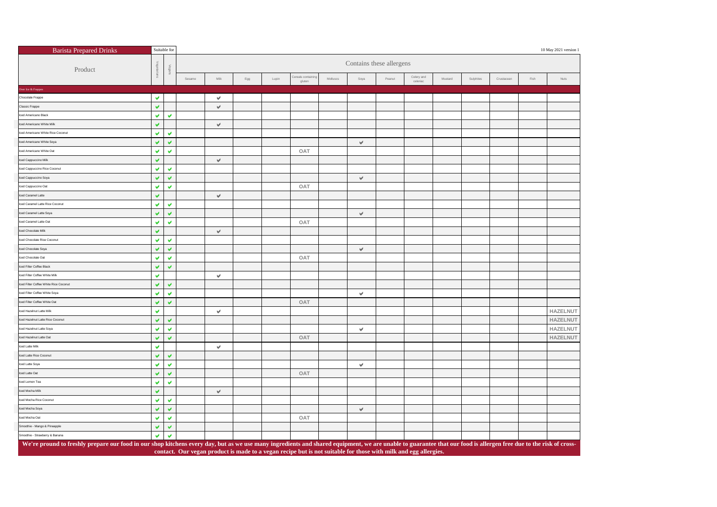| <b>Barista Prepared Drinks</b>                                                                                                                                                                                    |                       | Suitable for          |        |           |                   |       |                                                                                                                 |          |           |                          |                        |         |           |            |      | 10 May 2021 version 1 |
|-------------------------------------------------------------------------------------------------------------------------------------------------------------------------------------------------------------------|-----------------------|-----------------------|--------|-----------|-------------------|-------|-----------------------------------------------------------------------------------------------------------------|----------|-----------|--------------------------|------------------------|---------|-----------|------------|------|-----------------------|
| Product                                                                                                                                                                                                           |                       | Vegans                |        |           |                   |       |                                                                                                                 |          |           | Contains these allergens |                        |         |           |            |      |                       |
|                                                                                                                                                                                                                   |                       |                       | Sesame | Milk      | $_{\mathsf{Egg}}$ | Lupin | Cereals containi<br>gluten                                                                                      | Molluscs | Soya      | Peanut                   | Celery and<br>celeriad | Mustard | Sulphites | Crustacean | Fish | Nuts                  |
| ver Ice & Frappes                                                                                                                                                                                                 |                       |                       |        |           |                   |       |                                                                                                                 |          |           |                          |                        |         |           |            |      |                       |
| Chocolate Frappe                                                                                                                                                                                                  | w                     |                       |        | v         |                   |       |                                                                                                                 |          |           |                          |                        |         |           |            |      |                       |
| Classic Frappe                                                                                                                                                                                                    | V                     |                       |        | $\forall$ |                   |       |                                                                                                                 |          |           |                          |                        |         |           |            |      |                       |
| ed Americano Black                                                                                                                                                                                                | V                     | V                     |        |           |                   |       |                                                                                                                 |          |           |                          |                        |         |           |            |      |                       |
| ced Americano White Milk                                                                                                                                                                                          | V                     |                       |        | $\forall$ |                   |       |                                                                                                                 |          |           |                          |                        |         |           |            |      |                       |
| sed Americano White Rice Coconut                                                                                                                                                                                  | v                     | v                     |        |           |                   |       |                                                                                                                 |          |           |                          |                        |         |           |            |      |                       |
| ced Americano White Soya                                                                                                                                                                                          | v                     | $\blacktriangledown$  |        |           |                   |       |                                                                                                                 |          | v         |                          |                        |         |           |            |      |                       |
| ced Americano White Oat                                                                                                                                                                                           | w                     | $\blacktriangledown$  |        |           |                   |       | OAT                                                                                                             |          |           |                          |                        |         |           |            |      |                       |
| ed Cappuccino Milk                                                                                                                                                                                                | v                     |                       |        | $\forall$ |                   |       |                                                                                                                 |          |           |                          |                        |         |           |            |      |                       |
| ced Cappuccino Rice Coconut                                                                                                                                                                                       | v                     | v                     |        |           |                   |       |                                                                                                                 |          |           |                          |                        |         |           |            |      |                       |
| lced Cappuccino Soya                                                                                                                                                                                              | v                     | v                     |        |           |                   |       |                                                                                                                 |          | v         |                          |                        |         |           |            |      |                       |
| ced Cappuccino Oat                                                                                                                                                                                                | v                     | v                     |        |           |                   |       | OAT                                                                                                             |          |           |                          |                        |         |           |            |      |                       |
| ced Caramel Latte                                                                                                                                                                                                 | v                     |                       |        | $\forall$ |                   |       |                                                                                                                 |          |           |                          |                        |         |           |            |      |                       |
| ed Caramel Latte Rice Coconut                                                                                                                                                                                     | v                     | v                     |        |           |                   |       |                                                                                                                 |          |           |                          |                        |         |           |            |      |                       |
| ced Caramel Latte Soya                                                                                                                                                                                            | v                     | $\blacktriangledown$  |        |           |                   |       |                                                                                                                 |          | v         |                          |                        |         |           |            |      |                       |
| ced Caramel Latte Oat                                                                                                                                                                                             | v                     | v                     |        |           |                   |       | OAT                                                                                                             |          |           |                          |                        |         |           |            |      |                       |
| ed Chocolate Milk                                                                                                                                                                                                 | v                     |                       |        | V         |                   |       |                                                                                                                 |          |           |                          |                        |         |           |            |      |                       |
| ced Chocolate Rice Coconut                                                                                                                                                                                        | v                     | v                     |        |           |                   |       |                                                                                                                 |          |           |                          |                        |         |           |            |      |                       |
| ced Chocolate Soya                                                                                                                                                                                                | v                     | $\blacktriangleright$ |        |           |                   |       |                                                                                                                 |          | $\forall$ |                          |                        |         |           |            |      |                       |
| ced Chocolate Oat                                                                                                                                                                                                 | v                     | $\blacktriangledown$  |        |           |                   |       | OAT                                                                                                             |          |           |                          |                        |         |           |            |      |                       |
| ced Filter Coffee Black                                                                                                                                                                                           | v                     | v                     |        |           |                   |       |                                                                                                                 |          |           |                          |                        |         |           |            |      |                       |
| ed Filter Coffee White Milk                                                                                                                                                                                       | v                     |                       |        | v         |                   |       |                                                                                                                 |          |           |                          |                        |         |           |            |      |                       |
| ced Filter Coffee White Rice Coconut                                                                                                                                                                              | v                     | $\blacktriangleright$ |        |           |                   |       |                                                                                                                 |          |           |                          |                        |         |           |            |      |                       |
| ced Filter Coffee White Soya                                                                                                                                                                                      | v                     | $\checkmark$          |        |           |                   |       |                                                                                                                 |          | v         |                          |                        |         |           |            |      |                       |
| ced Filter Coffee White Oat                                                                                                                                                                                       | v                     | V                     |        |           |                   |       | OAT                                                                                                             |          |           |                          |                        |         |           |            |      |                       |
| ced Hazelnut Latte Milk                                                                                                                                                                                           | v                     |                       |        | v         |                   |       |                                                                                                                 |          |           |                          |                        |         |           |            |      | HAZELNUT              |
| ced Hazelnut Latte Rice Coconut                                                                                                                                                                                   | v                     | $\blacktriangleright$ |        |           |                   |       |                                                                                                                 |          |           |                          |                        |         |           |            |      | HAZELNUT              |
| ced Hazelnut Latte Soya                                                                                                                                                                                           | v                     | $\mathbf{v}$          |        |           |                   |       |                                                                                                                 |          | v         |                          |                        |         |           |            |      | <b>HAZELNUT</b>       |
| ced Hazelnut Latte Oat                                                                                                                                                                                            | v                     | v                     |        |           |                   |       | OAT                                                                                                             |          |           |                          |                        |         |           |            |      | <b>HAZELNUT</b>       |
| ced Latte Milk                                                                                                                                                                                                    | v                     |                       |        | v         |                   |       |                                                                                                                 |          |           |                          |                        |         |           |            |      |                       |
| ced Latte Rice Coconut                                                                                                                                                                                            | v                     | v                     |        |           |                   |       |                                                                                                                 |          |           |                          |                        |         |           |            |      |                       |
| lced Latte Soya                                                                                                                                                                                                   | v                     | v                     |        |           |                   |       |                                                                                                                 |          | v         |                          |                        |         |           |            |      |                       |
| ced Latte Oat                                                                                                                                                                                                     | v                     | $\checkmark$          |        |           |                   |       | OAT                                                                                                             |          |           |                          |                        |         |           |            |      |                       |
| ced Lemon Tea                                                                                                                                                                                                     | v                     | $\blacktriangledown$  |        |           |                   |       |                                                                                                                 |          |           |                          |                        |         |           |            |      |                       |
| ed Mocha Milk                                                                                                                                                                                                     | $\blacktriangleright$ |                       |        | $\forall$ |                   |       |                                                                                                                 |          |           |                          |                        |         |           |            |      |                       |
| ced Mocha Rice Coconut                                                                                                                                                                                            | v                     | $\blacktriangledown$  |        |           |                   |       |                                                                                                                 |          |           |                          |                        |         |           |            |      |                       |
| ced Mocha Soya                                                                                                                                                                                                    | v                     | v                     |        |           |                   |       |                                                                                                                 |          | v         |                          |                        |         |           |            |      |                       |
| ced Mocha Oat                                                                                                                                                                                                     | v                     | $\checkmark$          |        |           |                   |       | OAT                                                                                                             |          |           |                          |                        |         |           |            |      |                       |
| moothie - Mango & Pineapple                                                                                                                                                                                       | V                     | V                     |        |           |                   |       |                                                                                                                 |          |           |                          |                        |         |           |            |      |                       |
| Smoothie - Strawberry & Banana                                                                                                                                                                                    | v                     | V                     |        |           |                   |       |                                                                                                                 |          |           |                          |                        |         |           |            |      |                       |
| We're pround to freshly prepare our food in our shop kitchens every day, but as we use many ingredients and shared equipment, we are unable to guarantee that our food is allergen free due to the risk of cross- |                       |                       |        |           |                   |       |                                                                                                                 |          |           |                          |                        |         |           |            |      |                       |
|                                                                                                                                                                                                                   |                       |                       |        |           |                   |       | contact. Our vegan product is made to a vegan recipe but is not suitable for those with milk and egg allergies. |          |           |                          |                        |         |           |            |      |                       |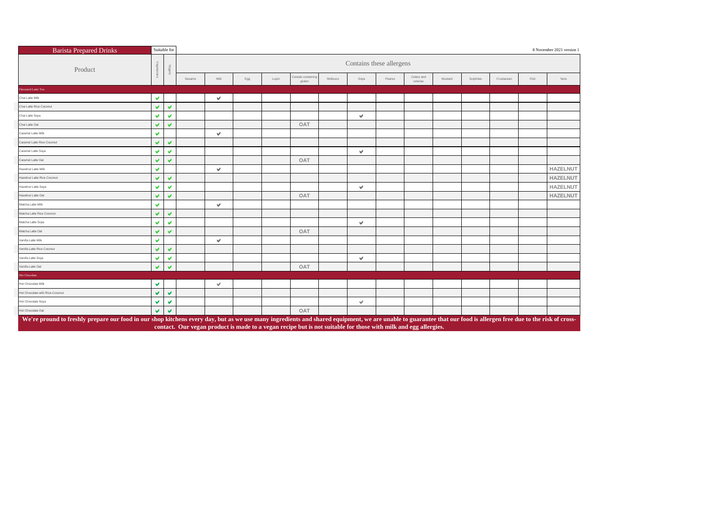| <b>Barista Prepared Drinks</b>                                                                                                                                                                                                                                                                                                       |                      | Suitable for            | 8 November 2021 version 1 |              |     |       |                              |          |               |        |                        |         |           |            |      |                 |
|--------------------------------------------------------------------------------------------------------------------------------------------------------------------------------------------------------------------------------------------------------------------------------------------------------------------------------------|----------------------|-------------------------|---------------------------|--------------|-----|-------|------------------------------|----------|---------------|--------|------------------------|---------|-----------|------------|------|-----------------|
| Product                                                                                                                                                                                                                                                                                                                              |                      |                         | Contains these allergens  |              |     |       |                              |          |               |        |                        |         |           |            |      |                 |
|                                                                                                                                                                                                                                                                                                                                      |                      |                         | Sesame                    | Milk         | Egg | Lupin | Cereals containing<br>gluten | Molluscs | Soya          | Peanut | Celery and<br>celeriac | Mustard | Sulphites | Crustacean | Fish | Nuts            |
| Flavoured Latte/Tea                                                                                                                                                                                                                                                                                                                  |                      |                         |                           |              |     |       |                              |          |               |        |                        |         |           |            |      |                 |
| Chai Latte Milk                                                                                                                                                                                                                                                                                                                      | v                    |                         |                           | v            |     |       |                              |          |               |        |                        |         |           |            |      |                 |
| Chai Latte Rice Coconut                                                                                                                                                                                                                                                                                                              | $\blacktriangledown$ | v                       |                           |              |     |       |                              |          |               |        |                        |         |           |            |      |                 |
| Chai Latte Soya                                                                                                                                                                                                                                                                                                                      | v                    | v                       |                           |              |     |       |                              |          | v             |        |                        |         |           |            |      |                 |
| Chai Latte Oat                                                                                                                                                                                                                                                                                                                       | v                    | v                       |                           |              |     |       | OAT                          |          |               |        |                        |         |           |            |      |                 |
| Caramel Latte Milk                                                                                                                                                                                                                                                                                                                   | v                    |                         |                           | V            |     |       |                              |          |               |        |                        |         |           |            |      |                 |
| Caramel Latte Rice Coconut                                                                                                                                                                                                                                                                                                           | v                    | V                       |                           |              |     |       |                              |          |               |        |                        |         |           |            |      |                 |
| Caramel Latte Soya                                                                                                                                                                                                                                                                                                                   | v                    | $\overline{\mathbf{v}}$ |                           |              |     |       |                              |          | v             |        |                        |         |           |            |      |                 |
| Caramel Latte Oat                                                                                                                                                                                                                                                                                                                    | v                    | $\mathbf{v}$            |                           |              |     |       | OAT                          |          |               |        |                        |         |           |            |      |                 |
| Hazelnut Latte Milk                                                                                                                                                                                                                                                                                                                  | v                    |                         |                           | v            |     |       |                              |          |               |        |                        |         |           |            |      | <b>HAZELNUT</b> |
| Hazelnut Latte Rice Coconut                                                                                                                                                                                                                                                                                                          | v                    | $\overline{\mathbf{v}}$ |                           |              |     |       |                              |          |               |        |                        |         |           |            |      | <b>HAZELNUT</b> |
| Hazelnut Latte Soya                                                                                                                                                                                                                                                                                                                  | v                    | $\mathcal{Q}$           |                           |              |     |       |                              |          | $\mathcal{P}$ |        |                        |         |           |            |      | <b>HAZELNUT</b> |
| Hazelnut Latte Oat                                                                                                                                                                                                                                                                                                                   | v                    | V                       |                           |              |     |       | OAT                          |          |               |        |                        |         |           |            |      | <b>HAZELNUT</b> |
| Matcha Latte Milk                                                                                                                                                                                                                                                                                                                    | v                    |                         |                           | v            |     |       |                              |          |               |        |                        |         |           |            |      |                 |
| Matcha Latte Rice Coconut                                                                                                                                                                                                                                                                                                            | v                    | V                       |                           |              |     |       |                              |          |               |        |                        |         |           |            |      |                 |
| Matcha Latte Soya                                                                                                                                                                                                                                                                                                                    | v                    | $\blacktriangleright$   |                           |              |     |       |                              |          | v             |        |                        |         |           |            |      |                 |
| Matcha Latte Oat                                                                                                                                                                                                                                                                                                                     | v                    | v                       |                           |              |     |       | OAT                          |          |               |        |                        |         |           |            |      |                 |
| Vanilla Latte Milk                                                                                                                                                                                                                                                                                                                   | v                    |                         |                           | $\checkmark$ |     |       |                              |          |               |        |                        |         |           |            |      |                 |
| Vanilla Latte Rice Coconut                                                                                                                                                                                                                                                                                                           | v                    | $\overline{\mathbf{v}}$ |                           |              |     |       |                              |          |               |        |                        |         |           |            |      |                 |
| Vanilla Latte Soya                                                                                                                                                                                                                                                                                                                   | v                    | v                       |                           |              |     |       |                              |          | V             |        |                        |         |           |            |      |                 |
| Vanilla Latte Oat                                                                                                                                                                                                                                                                                                                    | v.                   | $\overline{\mathbf{v}}$ |                           |              |     |       | OAT                          |          |               |        |                        |         |           |            |      |                 |
| <b>Hot Chocolate</b>                                                                                                                                                                                                                                                                                                                 |                      |                         |                           |              |     |       |                              |          |               |        |                        |         |           |            |      |                 |
| Hot Chocolate Milk                                                                                                                                                                                                                                                                                                                   | $\blacktriangledown$ |                         |                           | v            |     |       |                              |          |               |        |                        |         |           |            |      |                 |
| Hot Chocolate with Rice-Coconut                                                                                                                                                                                                                                                                                                      | $\blacktriangledown$ | v                       |                           |              |     |       |                              |          |               |        |                        |         |           |            |      |                 |
| Hot Chocolate Soya                                                                                                                                                                                                                                                                                                                   | v                    | V                       |                           |              |     |       |                              |          | v             |        |                        |         |           |            |      |                 |
| Hot Chocolate Oat                                                                                                                                                                                                                                                                                                                    | v                    | v                       |                           |              |     |       | OAT                          |          |               |        |                        |         |           |            |      |                 |
| We're pround to freshly prepare our food in our shop kitchens every day, but as we use many ingredients and shared equipment, we are unable to guarantee that our food is allergen free due to the risk of cross-<br>contact. Our vegan product is made to a vegan recipe but is not suitable for those with milk and egg allergies. |                      |                         |                           |              |     |       |                              |          |               |        |                        |         |           |            |      |                 |